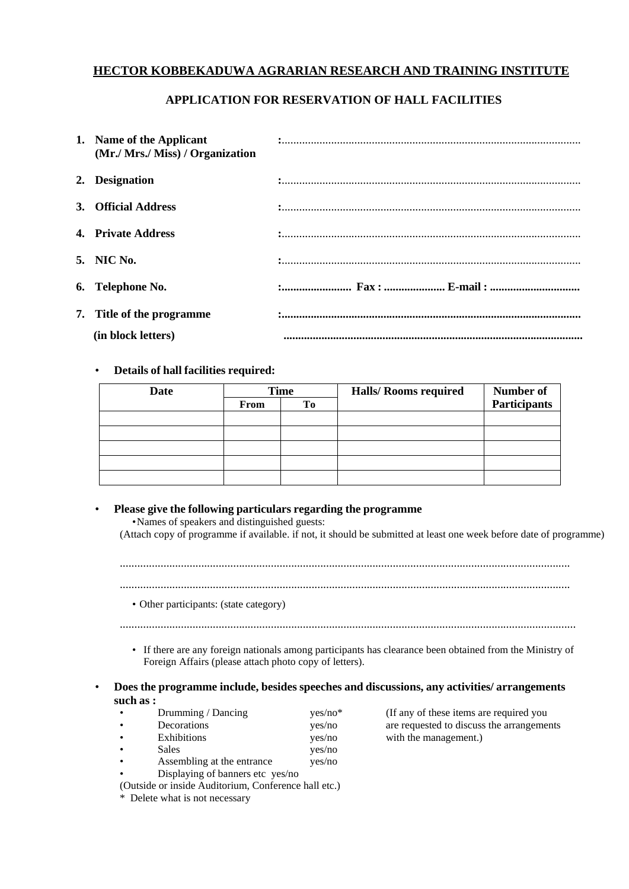# **HECTOR KOBBEKADUWA AGRARIAN RESEARCH AND TRAINING INSTITUTE**

# **APPLICATION FOR RESERVATION OF HALL FACILITIES**

| 1. Name of the Applicant<br>(Mr./ Mrs./ Miss) / Organization |  |
|--------------------------------------------------------------|--|
| 2. Designation                                               |  |
| 3. Official Address                                          |  |
| 4. Private Address                                           |  |
| 5. NIC No.                                                   |  |
| 6. Telephone No.                                             |  |
| 7. Title of the programme                                    |  |
| (in block letters)                                           |  |

#### • **Details of hall facilities required:**

| <b>Date</b> | <b>Time</b> |    | <b>Halls/ Rooms required</b> | Number of           |
|-------------|-------------|----|------------------------------|---------------------|
|             | From        | Tо |                              | <b>Participants</b> |
|             |             |    |                              |                     |
|             |             |    |                              |                     |
|             |             |    |                              |                     |
|             |             |    |                              |                     |
|             |             |    |                              |                     |

#### • **Please give the following particulars regarding the programme**

•Names of speakers and distinguished guests:

(Attach copy of programme if available. if not, it should be submitted at least one week before date of programme)

...........................................................................................................................................................

...........................................................................................................................................................

• Other participants: (state category)

.............................................................................................................................................................

• If there are any foreign nationals among participants has clearance been obtained from the Ministry of Foreign Affairs (please attach photo copy of letters).

> (If any of these items are required you are requested to discuss the arrangements

with the management.)

• **Does the programme include, besides speeches and discussions, any activities/ arrangements such as :**

| $\bullet$ | Drumming / Dancing                                                 | yes/no* |
|-----------|--------------------------------------------------------------------|---------|
| $\bullet$ | Decorations                                                        | yes/no  |
| $\bullet$ | Exhibitions                                                        | yes/no  |
| $\bullet$ | Sales                                                              | yes/no  |
| $\bullet$ | Assembling at the entrance                                         | yes/no  |
|           | $\mathbf{D}$ is also in $\mathbf{r}$ of leaves are also associated |         |

• Displaying of banners etc yes/no

(Outside or inside Auditorium, Conference hall etc.)

\* Delete what is not necessary